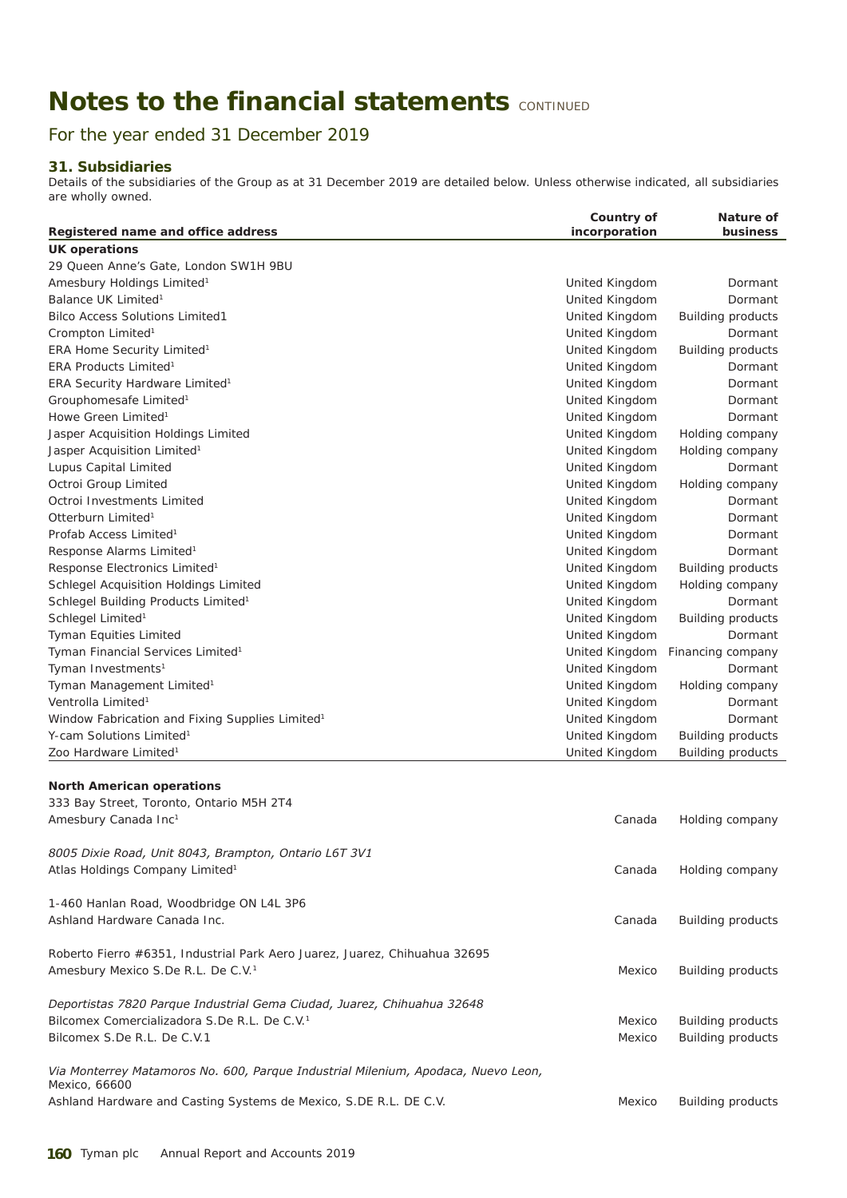## **Notes to the financial statements CONTINUED**

For the year ended 31 December 2019

## **31. Subsidiaries**

Details of the subsidiaries of the Group as at 31 December 2019 are detailed below. Unless otherwise indicated, all subsidiaries are wholly owned.

| incorporation<br>business<br>Registered name and office address<br><b>UK operations</b><br>29 Queen Anne's Gate, London SW1H 9BU<br>Amesbury Holdings Limited <sup>1</sup><br>United Kingdom<br>Dormant<br>Balance UK Limited <sup>1</sup><br>United Kingdom<br>Dormant<br><b>Bilco Access Solutions Limited1</b><br>United Kingdom<br><b>Building products</b><br>Crompton Limited <sup>1</sup><br>United Kingdom<br>Dormant<br>ERA Home Security Limited <sup>1</sup><br>United Kingdom<br><b>Building products</b><br>ERA Products Limited <sup>1</sup><br>United Kingdom<br>Dormant<br>ERA Security Hardware Limited <sup>1</sup><br>United Kingdom<br>Dormant<br>Grouphomesafe Limited <sup>1</sup><br>United Kingdom<br>Dormant<br>Howe Green Limited <sup>1</sup><br>United Kingdom<br>Dormant<br>Jasper Acquisition Holdings Limited<br>United Kingdom<br>Holding company<br>Jasper Acquisition Limited <sup>1</sup><br>United Kingdom<br>Holding company<br>Lupus Capital Limited<br>United Kingdom<br>Dormant<br>Octroi Group Limited<br>United Kingdom<br>Holding company<br>Octroi Investments Limited<br>United Kingdom<br>Dormant<br>Otterburn Limited <sup>1</sup><br>United Kingdom<br>Dormant<br>Profab Access Limited <sup>1</sup><br>United Kingdom<br>Dormant<br>Response Alarms Limited <sup>1</sup><br>United Kingdom<br>Dormant<br>Response Electronics Limited <sup>1</sup><br>United Kingdom<br><b>Building products</b><br>Schlegel Acquisition Holdings Limited<br>United Kingdom<br>Holding company<br>Schlegel Building Products Limited <sup>1</sup><br>United Kingdom<br>Dormant<br>Schlegel Limited <sup>1</sup><br>United Kingdom<br><b>Building products</b><br>Tyman Equities Limited<br>United Kingdom<br>Dormant<br>Tyman Financial Services Limited <sup>1</sup><br>United Kingdom<br>Financing company<br>Tyman Investments <sup>1</sup><br>United Kingdom<br>Dormant<br>Tyman Management Limited <sup>1</sup><br>United Kingdom<br>Holding company<br>Ventrolla Limited <sup>1</sup><br>United Kingdom<br>Dormant<br>Window Fabrication and Fixing Supplies Limited <sup>1</sup><br>United Kingdom<br>Dormant<br>Y-cam Solutions Limited <sup>1</sup><br>United Kingdom<br><b>Building products</b><br>Zoo Hardware Limited <sup>1</sup><br>United Kingdom<br><b>Building products</b><br><b>North American operations</b><br>333 Bay Street, Toronto, Ontario M5H 2T4<br>Amesbury Canada Inc <sup>1</sup><br>Canada<br>Holding company<br>8005 Dixie Road, Unit 8043, Brampton, Ontario L6T 3V1<br>Atlas Holdings Company Limited <sup>1</sup><br>Canada<br>Holding company<br>1-460 Hanlan Road, Woodbridge ON L4L 3P6<br>Ashland Hardware Canada Inc.<br>Canada<br><b>Building products</b><br>Roberto Fierro #6351, Industrial Park Aero Juarez, Juarez, Chihuahua 32695<br>Amesbury Mexico S.De R.L. De C.V. <sup>1</sup><br><b>Building products</b><br>Mexico<br>Deportistas 7820 Parque Industrial Gema Ciudad, Juarez, Chihuahua 32648<br>Bilcomex Comercializadora S.De R.L. De C.V. <sup>1</sup><br><b>Building products</b><br>Mexico<br>Bilcomex S.De R.L. De C.V.1<br>Mexico<br><b>Building products</b><br>Via Monterrey Matamoros No. 600, Parque Industrial Milenium, Apodaca, Nuevo Leon,<br>Mexico, 66600<br>Ashland Hardware and Casting Systems de Mexico, S.DE R.L. DE C.V.<br><b>Building products</b><br>Mexico | Country of | Nature of |
|---------------------------------------------------------------------------------------------------------------------------------------------------------------------------------------------------------------------------------------------------------------------------------------------------------------------------------------------------------------------------------------------------------------------------------------------------------------------------------------------------------------------------------------------------------------------------------------------------------------------------------------------------------------------------------------------------------------------------------------------------------------------------------------------------------------------------------------------------------------------------------------------------------------------------------------------------------------------------------------------------------------------------------------------------------------------------------------------------------------------------------------------------------------------------------------------------------------------------------------------------------------------------------------------------------------------------------------------------------------------------------------------------------------------------------------------------------------------------------------------------------------------------------------------------------------------------------------------------------------------------------------------------------------------------------------------------------------------------------------------------------------------------------------------------------------------------------------------------------------------------------------------------------------------------------------------------------------------------------------------------------------------------------------------------------------------------------------------------------------------------------------------------------------------------------------------------------------------------------------------------------------------------------------------------------------------------------------------------------------------------------------------------------------------------------------------------------------------------------------------------------------------------------------------------------------------------------------------------------------------------------------------------------------------------------------------------------------------------------------------------------------------------------------------------------------------------------------------------------------------------------------------------------------------------------------------------------------------------------------------------------------------------------------------------------------------------------------------------------------------------------------------------------------------------------------------------------------------------------------------------------------------------------------------------------------------------------------------------------------------------------|------------|-----------|
|                                                                                                                                                                                                                                                                                                                                                                                                                                                                                                                                                                                                                                                                                                                                                                                                                                                                                                                                                                                                                                                                                                                                                                                                                                                                                                                                                                                                                                                                                                                                                                                                                                                                                                                                                                                                                                                                                                                                                                                                                                                                                                                                                                                                                                                                                                                                                                                                                                                                                                                                                                                                                                                                                                                                                                                                                                                                                                                                                                                                                                                                                                                                                                                                                                                                                                                                                                                 |            |           |
|                                                                                                                                                                                                                                                                                                                                                                                                                                                                                                                                                                                                                                                                                                                                                                                                                                                                                                                                                                                                                                                                                                                                                                                                                                                                                                                                                                                                                                                                                                                                                                                                                                                                                                                                                                                                                                                                                                                                                                                                                                                                                                                                                                                                                                                                                                                                                                                                                                                                                                                                                                                                                                                                                                                                                                                                                                                                                                                                                                                                                                                                                                                                                                                                                                                                                                                                                                                 |            |           |
|                                                                                                                                                                                                                                                                                                                                                                                                                                                                                                                                                                                                                                                                                                                                                                                                                                                                                                                                                                                                                                                                                                                                                                                                                                                                                                                                                                                                                                                                                                                                                                                                                                                                                                                                                                                                                                                                                                                                                                                                                                                                                                                                                                                                                                                                                                                                                                                                                                                                                                                                                                                                                                                                                                                                                                                                                                                                                                                                                                                                                                                                                                                                                                                                                                                                                                                                                                                 |            |           |
|                                                                                                                                                                                                                                                                                                                                                                                                                                                                                                                                                                                                                                                                                                                                                                                                                                                                                                                                                                                                                                                                                                                                                                                                                                                                                                                                                                                                                                                                                                                                                                                                                                                                                                                                                                                                                                                                                                                                                                                                                                                                                                                                                                                                                                                                                                                                                                                                                                                                                                                                                                                                                                                                                                                                                                                                                                                                                                                                                                                                                                                                                                                                                                                                                                                                                                                                                                                 |            |           |
|                                                                                                                                                                                                                                                                                                                                                                                                                                                                                                                                                                                                                                                                                                                                                                                                                                                                                                                                                                                                                                                                                                                                                                                                                                                                                                                                                                                                                                                                                                                                                                                                                                                                                                                                                                                                                                                                                                                                                                                                                                                                                                                                                                                                                                                                                                                                                                                                                                                                                                                                                                                                                                                                                                                                                                                                                                                                                                                                                                                                                                                                                                                                                                                                                                                                                                                                                                                 |            |           |
|                                                                                                                                                                                                                                                                                                                                                                                                                                                                                                                                                                                                                                                                                                                                                                                                                                                                                                                                                                                                                                                                                                                                                                                                                                                                                                                                                                                                                                                                                                                                                                                                                                                                                                                                                                                                                                                                                                                                                                                                                                                                                                                                                                                                                                                                                                                                                                                                                                                                                                                                                                                                                                                                                                                                                                                                                                                                                                                                                                                                                                                                                                                                                                                                                                                                                                                                                                                 |            |           |
|                                                                                                                                                                                                                                                                                                                                                                                                                                                                                                                                                                                                                                                                                                                                                                                                                                                                                                                                                                                                                                                                                                                                                                                                                                                                                                                                                                                                                                                                                                                                                                                                                                                                                                                                                                                                                                                                                                                                                                                                                                                                                                                                                                                                                                                                                                                                                                                                                                                                                                                                                                                                                                                                                                                                                                                                                                                                                                                                                                                                                                                                                                                                                                                                                                                                                                                                                                                 |            |           |
|                                                                                                                                                                                                                                                                                                                                                                                                                                                                                                                                                                                                                                                                                                                                                                                                                                                                                                                                                                                                                                                                                                                                                                                                                                                                                                                                                                                                                                                                                                                                                                                                                                                                                                                                                                                                                                                                                                                                                                                                                                                                                                                                                                                                                                                                                                                                                                                                                                                                                                                                                                                                                                                                                                                                                                                                                                                                                                                                                                                                                                                                                                                                                                                                                                                                                                                                                                                 |            |           |
|                                                                                                                                                                                                                                                                                                                                                                                                                                                                                                                                                                                                                                                                                                                                                                                                                                                                                                                                                                                                                                                                                                                                                                                                                                                                                                                                                                                                                                                                                                                                                                                                                                                                                                                                                                                                                                                                                                                                                                                                                                                                                                                                                                                                                                                                                                                                                                                                                                                                                                                                                                                                                                                                                                                                                                                                                                                                                                                                                                                                                                                                                                                                                                                                                                                                                                                                                                                 |            |           |
|                                                                                                                                                                                                                                                                                                                                                                                                                                                                                                                                                                                                                                                                                                                                                                                                                                                                                                                                                                                                                                                                                                                                                                                                                                                                                                                                                                                                                                                                                                                                                                                                                                                                                                                                                                                                                                                                                                                                                                                                                                                                                                                                                                                                                                                                                                                                                                                                                                                                                                                                                                                                                                                                                                                                                                                                                                                                                                                                                                                                                                                                                                                                                                                                                                                                                                                                                                                 |            |           |
|                                                                                                                                                                                                                                                                                                                                                                                                                                                                                                                                                                                                                                                                                                                                                                                                                                                                                                                                                                                                                                                                                                                                                                                                                                                                                                                                                                                                                                                                                                                                                                                                                                                                                                                                                                                                                                                                                                                                                                                                                                                                                                                                                                                                                                                                                                                                                                                                                                                                                                                                                                                                                                                                                                                                                                                                                                                                                                                                                                                                                                                                                                                                                                                                                                                                                                                                                                                 |            |           |
|                                                                                                                                                                                                                                                                                                                                                                                                                                                                                                                                                                                                                                                                                                                                                                                                                                                                                                                                                                                                                                                                                                                                                                                                                                                                                                                                                                                                                                                                                                                                                                                                                                                                                                                                                                                                                                                                                                                                                                                                                                                                                                                                                                                                                                                                                                                                                                                                                                                                                                                                                                                                                                                                                                                                                                                                                                                                                                                                                                                                                                                                                                                                                                                                                                                                                                                                                                                 |            |           |
|                                                                                                                                                                                                                                                                                                                                                                                                                                                                                                                                                                                                                                                                                                                                                                                                                                                                                                                                                                                                                                                                                                                                                                                                                                                                                                                                                                                                                                                                                                                                                                                                                                                                                                                                                                                                                                                                                                                                                                                                                                                                                                                                                                                                                                                                                                                                                                                                                                                                                                                                                                                                                                                                                                                                                                                                                                                                                                                                                                                                                                                                                                                                                                                                                                                                                                                                                                                 |            |           |
|                                                                                                                                                                                                                                                                                                                                                                                                                                                                                                                                                                                                                                                                                                                                                                                                                                                                                                                                                                                                                                                                                                                                                                                                                                                                                                                                                                                                                                                                                                                                                                                                                                                                                                                                                                                                                                                                                                                                                                                                                                                                                                                                                                                                                                                                                                                                                                                                                                                                                                                                                                                                                                                                                                                                                                                                                                                                                                                                                                                                                                                                                                                                                                                                                                                                                                                                                                                 |            |           |
|                                                                                                                                                                                                                                                                                                                                                                                                                                                                                                                                                                                                                                                                                                                                                                                                                                                                                                                                                                                                                                                                                                                                                                                                                                                                                                                                                                                                                                                                                                                                                                                                                                                                                                                                                                                                                                                                                                                                                                                                                                                                                                                                                                                                                                                                                                                                                                                                                                                                                                                                                                                                                                                                                                                                                                                                                                                                                                                                                                                                                                                                                                                                                                                                                                                                                                                                                                                 |            |           |
|                                                                                                                                                                                                                                                                                                                                                                                                                                                                                                                                                                                                                                                                                                                                                                                                                                                                                                                                                                                                                                                                                                                                                                                                                                                                                                                                                                                                                                                                                                                                                                                                                                                                                                                                                                                                                                                                                                                                                                                                                                                                                                                                                                                                                                                                                                                                                                                                                                                                                                                                                                                                                                                                                                                                                                                                                                                                                                                                                                                                                                                                                                                                                                                                                                                                                                                                                                                 |            |           |
|                                                                                                                                                                                                                                                                                                                                                                                                                                                                                                                                                                                                                                                                                                                                                                                                                                                                                                                                                                                                                                                                                                                                                                                                                                                                                                                                                                                                                                                                                                                                                                                                                                                                                                                                                                                                                                                                                                                                                                                                                                                                                                                                                                                                                                                                                                                                                                                                                                                                                                                                                                                                                                                                                                                                                                                                                                                                                                                                                                                                                                                                                                                                                                                                                                                                                                                                                                                 |            |           |
|                                                                                                                                                                                                                                                                                                                                                                                                                                                                                                                                                                                                                                                                                                                                                                                                                                                                                                                                                                                                                                                                                                                                                                                                                                                                                                                                                                                                                                                                                                                                                                                                                                                                                                                                                                                                                                                                                                                                                                                                                                                                                                                                                                                                                                                                                                                                                                                                                                                                                                                                                                                                                                                                                                                                                                                                                                                                                                                                                                                                                                                                                                                                                                                                                                                                                                                                                                                 |            |           |
|                                                                                                                                                                                                                                                                                                                                                                                                                                                                                                                                                                                                                                                                                                                                                                                                                                                                                                                                                                                                                                                                                                                                                                                                                                                                                                                                                                                                                                                                                                                                                                                                                                                                                                                                                                                                                                                                                                                                                                                                                                                                                                                                                                                                                                                                                                                                                                                                                                                                                                                                                                                                                                                                                                                                                                                                                                                                                                                                                                                                                                                                                                                                                                                                                                                                                                                                                                                 |            |           |
|                                                                                                                                                                                                                                                                                                                                                                                                                                                                                                                                                                                                                                                                                                                                                                                                                                                                                                                                                                                                                                                                                                                                                                                                                                                                                                                                                                                                                                                                                                                                                                                                                                                                                                                                                                                                                                                                                                                                                                                                                                                                                                                                                                                                                                                                                                                                                                                                                                                                                                                                                                                                                                                                                                                                                                                                                                                                                                                                                                                                                                                                                                                                                                                                                                                                                                                                                                                 |            |           |
|                                                                                                                                                                                                                                                                                                                                                                                                                                                                                                                                                                                                                                                                                                                                                                                                                                                                                                                                                                                                                                                                                                                                                                                                                                                                                                                                                                                                                                                                                                                                                                                                                                                                                                                                                                                                                                                                                                                                                                                                                                                                                                                                                                                                                                                                                                                                                                                                                                                                                                                                                                                                                                                                                                                                                                                                                                                                                                                                                                                                                                                                                                                                                                                                                                                                                                                                                                                 |            |           |
|                                                                                                                                                                                                                                                                                                                                                                                                                                                                                                                                                                                                                                                                                                                                                                                                                                                                                                                                                                                                                                                                                                                                                                                                                                                                                                                                                                                                                                                                                                                                                                                                                                                                                                                                                                                                                                                                                                                                                                                                                                                                                                                                                                                                                                                                                                                                                                                                                                                                                                                                                                                                                                                                                                                                                                                                                                                                                                                                                                                                                                                                                                                                                                                                                                                                                                                                                                                 |            |           |
|                                                                                                                                                                                                                                                                                                                                                                                                                                                                                                                                                                                                                                                                                                                                                                                                                                                                                                                                                                                                                                                                                                                                                                                                                                                                                                                                                                                                                                                                                                                                                                                                                                                                                                                                                                                                                                                                                                                                                                                                                                                                                                                                                                                                                                                                                                                                                                                                                                                                                                                                                                                                                                                                                                                                                                                                                                                                                                                                                                                                                                                                                                                                                                                                                                                                                                                                                                                 |            |           |
|                                                                                                                                                                                                                                                                                                                                                                                                                                                                                                                                                                                                                                                                                                                                                                                                                                                                                                                                                                                                                                                                                                                                                                                                                                                                                                                                                                                                                                                                                                                                                                                                                                                                                                                                                                                                                                                                                                                                                                                                                                                                                                                                                                                                                                                                                                                                                                                                                                                                                                                                                                                                                                                                                                                                                                                                                                                                                                                                                                                                                                                                                                                                                                                                                                                                                                                                                                                 |            |           |
|                                                                                                                                                                                                                                                                                                                                                                                                                                                                                                                                                                                                                                                                                                                                                                                                                                                                                                                                                                                                                                                                                                                                                                                                                                                                                                                                                                                                                                                                                                                                                                                                                                                                                                                                                                                                                                                                                                                                                                                                                                                                                                                                                                                                                                                                                                                                                                                                                                                                                                                                                                                                                                                                                                                                                                                                                                                                                                                                                                                                                                                                                                                                                                                                                                                                                                                                                                                 |            |           |
|                                                                                                                                                                                                                                                                                                                                                                                                                                                                                                                                                                                                                                                                                                                                                                                                                                                                                                                                                                                                                                                                                                                                                                                                                                                                                                                                                                                                                                                                                                                                                                                                                                                                                                                                                                                                                                                                                                                                                                                                                                                                                                                                                                                                                                                                                                                                                                                                                                                                                                                                                                                                                                                                                                                                                                                                                                                                                                                                                                                                                                                                                                                                                                                                                                                                                                                                                                                 |            |           |
|                                                                                                                                                                                                                                                                                                                                                                                                                                                                                                                                                                                                                                                                                                                                                                                                                                                                                                                                                                                                                                                                                                                                                                                                                                                                                                                                                                                                                                                                                                                                                                                                                                                                                                                                                                                                                                                                                                                                                                                                                                                                                                                                                                                                                                                                                                                                                                                                                                                                                                                                                                                                                                                                                                                                                                                                                                                                                                                                                                                                                                                                                                                                                                                                                                                                                                                                                                                 |            |           |
|                                                                                                                                                                                                                                                                                                                                                                                                                                                                                                                                                                                                                                                                                                                                                                                                                                                                                                                                                                                                                                                                                                                                                                                                                                                                                                                                                                                                                                                                                                                                                                                                                                                                                                                                                                                                                                                                                                                                                                                                                                                                                                                                                                                                                                                                                                                                                                                                                                                                                                                                                                                                                                                                                                                                                                                                                                                                                                                                                                                                                                                                                                                                                                                                                                                                                                                                                                                 |            |           |
|                                                                                                                                                                                                                                                                                                                                                                                                                                                                                                                                                                                                                                                                                                                                                                                                                                                                                                                                                                                                                                                                                                                                                                                                                                                                                                                                                                                                                                                                                                                                                                                                                                                                                                                                                                                                                                                                                                                                                                                                                                                                                                                                                                                                                                                                                                                                                                                                                                                                                                                                                                                                                                                                                                                                                                                                                                                                                                                                                                                                                                                                                                                                                                                                                                                                                                                                                                                 |            |           |
|                                                                                                                                                                                                                                                                                                                                                                                                                                                                                                                                                                                                                                                                                                                                                                                                                                                                                                                                                                                                                                                                                                                                                                                                                                                                                                                                                                                                                                                                                                                                                                                                                                                                                                                                                                                                                                                                                                                                                                                                                                                                                                                                                                                                                                                                                                                                                                                                                                                                                                                                                                                                                                                                                                                                                                                                                                                                                                                                                                                                                                                                                                                                                                                                                                                                                                                                                                                 |            |           |
|                                                                                                                                                                                                                                                                                                                                                                                                                                                                                                                                                                                                                                                                                                                                                                                                                                                                                                                                                                                                                                                                                                                                                                                                                                                                                                                                                                                                                                                                                                                                                                                                                                                                                                                                                                                                                                                                                                                                                                                                                                                                                                                                                                                                                                                                                                                                                                                                                                                                                                                                                                                                                                                                                                                                                                                                                                                                                                                                                                                                                                                                                                                                                                                                                                                                                                                                                                                 |            |           |
|                                                                                                                                                                                                                                                                                                                                                                                                                                                                                                                                                                                                                                                                                                                                                                                                                                                                                                                                                                                                                                                                                                                                                                                                                                                                                                                                                                                                                                                                                                                                                                                                                                                                                                                                                                                                                                                                                                                                                                                                                                                                                                                                                                                                                                                                                                                                                                                                                                                                                                                                                                                                                                                                                                                                                                                                                                                                                                                                                                                                                                                                                                                                                                                                                                                                                                                                                                                 |            |           |
|                                                                                                                                                                                                                                                                                                                                                                                                                                                                                                                                                                                                                                                                                                                                                                                                                                                                                                                                                                                                                                                                                                                                                                                                                                                                                                                                                                                                                                                                                                                                                                                                                                                                                                                                                                                                                                                                                                                                                                                                                                                                                                                                                                                                                                                                                                                                                                                                                                                                                                                                                                                                                                                                                                                                                                                                                                                                                                                                                                                                                                                                                                                                                                                                                                                                                                                                                                                 |            |           |
|                                                                                                                                                                                                                                                                                                                                                                                                                                                                                                                                                                                                                                                                                                                                                                                                                                                                                                                                                                                                                                                                                                                                                                                                                                                                                                                                                                                                                                                                                                                                                                                                                                                                                                                                                                                                                                                                                                                                                                                                                                                                                                                                                                                                                                                                                                                                                                                                                                                                                                                                                                                                                                                                                                                                                                                                                                                                                                                                                                                                                                                                                                                                                                                                                                                                                                                                                                                 |            |           |
|                                                                                                                                                                                                                                                                                                                                                                                                                                                                                                                                                                                                                                                                                                                                                                                                                                                                                                                                                                                                                                                                                                                                                                                                                                                                                                                                                                                                                                                                                                                                                                                                                                                                                                                                                                                                                                                                                                                                                                                                                                                                                                                                                                                                                                                                                                                                                                                                                                                                                                                                                                                                                                                                                                                                                                                                                                                                                                                                                                                                                                                                                                                                                                                                                                                                                                                                                                                 |            |           |
|                                                                                                                                                                                                                                                                                                                                                                                                                                                                                                                                                                                                                                                                                                                                                                                                                                                                                                                                                                                                                                                                                                                                                                                                                                                                                                                                                                                                                                                                                                                                                                                                                                                                                                                                                                                                                                                                                                                                                                                                                                                                                                                                                                                                                                                                                                                                                                                                                                                                                                                                                                                                                                                                                                                                                                                                                                                                                                                                                                                                                                                                                                                                                                                                                                                                                                                                                                                 |            |           |
|                                                                                                                                                                                                                                                                                                                                                                                                                                                                                                                                                                                                                                                                                                                                                                                                                                                                                                                                                                                                                                                                                                                                                                                                                                                                                                                                                                                                                                                                                                                                                                                                                                                                                                                                                                                                                                                                                                                                                                                                                                                                                                                                                                                                                                                                                                                                                                                                                                                                                                                                                                                                                                                                                                                                                                                                                                                                                                                                                                                                                                                                                                                                                                                                                                                                                                                                                                                 |            |           |
|                                                                                                                                                                                                                                                                                                                                                                                                                                                                                                                                                                                                                                                                                                                                                                                                                                                                                                                                                                                                                                                                                                                                                                                                                                                                                                                                                                                                                                                                                                                                                                                                                                                                                                                                                                                                                                                                                                                                                                                                                                                                                                                                                                                                                                                                                                                                                                                                                                                                                                                                                                                                                                                                                                                                                                                                                                                                                                                                                                                                                                                                                                                                                                                                                                                                                                                                                                                 |            |           |
|                                                                                                                                                                                                                                                                                                                                                                                                                                                                                                                                                                                                                                                                                                                                                                                                                                                                                                                                                                                                                                                                                                                                                                                                                                                                                                                                                                                                                                                                                                                                                                                                                                                                                                                                                                                                                                                                                                                                                                                                                                                                                                                                                                                                                                                                                                                                                                                                                                                                                                                                                                                                                                                                                                                                                                                                                                                                                                                                                                                                                                                                                                                                                                                                                                                                                                                                                                                 |            |           |
|                                                                                                                                                                                                                                                                                                                                                                                                                                                                                                                                                                                                                                                                                                                                                                                                                                                                                                                                                                                                                                                                                                                                                                                                                                                                                                                                                                                                                                                                                                                                                                                                                                                                                                                                                                                                                                                                                                                                                                                                                                                                                                                                                                                                                                                                                                                                                                                                                                                                                                                                                                                                                                                                                                                                                                                                                                                                                                                                                                                                                                                                                                                                                                                                                                                                                                                                                                                 |            |           |
|                                                                                                                                                                                                                                                                                                                                                                                                                                                                                                                                                                                                                                                                                                                                                                                                                                                                                                                                                                                                                                                                                                                                                                                                                                                                                                                                                                                                                                                                                                                                                                                                                                                                                                                                                                                                                                                                                                                                                                                                                                                                                                                                                                                                                                                                                                                                                                                                                                                                                                                                                                                                                                                                                                                                                                                                                                                                                                                                                                                                                                                                                                                                                                                                                                                                                                                                                                                 |            |           |
|                                                                                                                                                                                                                                                                                                                                                                                                                                                                                                                                                                                                                                                                                                                                                                                                                                                                                                                                                                                                                                                                                                                                                                                                                                                                                                                                                                                                                                                                                                                                                                                                                                                                                                                                                                                                                                                                                                                                                                                                                                                                                                                                                                                                                                                                                                                                                                                                                                                                                                                                                                                                                                                                                                                                                                                                                                                                                                                                                                                                                                                                                                                                                                                                                                                                                                                                                                                 |            |           |
|                                                                                                                                                                                                                                                                                                                                                                                                                                                                                                                                                                                                                                                                                                                                                                                                                                                                                                                                                                                                                                                                                                                                                                                                                                                                                                                                                                                                                                                                                                                                                                                                                                                                                                                                                                                                                                                                                                                                                                                                                                                                                                                                                                                                                                                                                                                                                                                                                                                                                                                                                                                                                                                                                                                                                                                                                                                                                                                                                                                                                                                                                                                                                                                                                                                                                                                                                                                 |            |           |
|                                                                                                                                                                                                                                                                                                                                                                                                                                                                                                                                                                                                                                                                                                                                                                                                                                                                                                                                                                                                                                                                                                                                                                                                                                                                                                                                                                                                                                                                                                                                                                                                                                                                                                                                                                                                                                                                                                                                                                                                                                                                                                                                                                                                                                                                                                                                                                                                                                                                                                                                                                                                                                                                                                                                                                                                                                                                                                                                                                                                                                                                                                                                                                                                                                                                                                                                                                                 |            |           |
|                                                                                                                                                                                                                                                                                                                                                                                                                                                                                                                                                                                                                                                                                                                                                                                                                                                                                                                                                                                                                                                                                                                                                                                                                                                                                                                                                                                                                                                                                                                                                                                                                                                                                                                                                                                                                                                                                                                                                                                                                                                                                                                                                                                                                                                                                                                                                                                                                                                                                                                                                                                                                                                                                                                                                                                                                                                                                                                                                                                                                                                                                                                                                                                                                                                                                                                                                                                 |            |           |
|                                                                                                                                                                                                                                                                                                                                                                                                                                                                                                                                                                                                                                                                                                                                                                                                                                                                                                                                                                                                                                                                                                                                                                                                                                                                                                                                                                                                                                                                                                                                                                                                                                                                                                                                                                                                                                                                                                                                                                                                                                                                                                                                                                                                                                                                                                                                                                                                                                                                                                                                                                                                                                                                                                                                                                                                                                                                                                                                                                                                                                                                                                                                                                                                                                                                                                                                                                                 |            |           |
|                                                                                                                                                                                                                                                                                                                                                                                                                                                                                                                                                                                                                                                                                                                                                                                                                                                                                                                                                                                                                                                                                                                                                                                                                                                                                                                                                                                                                                                                                                                                                                                                                                                                                                                                                                                                                                                                                                                                                                                                                                                                                                                                                                                                                                                                                                                                                                                                                                                                                                                                                                                                                                                                                                                                                                                                                                                                                                                                                                                                                                                                                                                                                                                                                                                                                                                                                                                 |            |           |
|                                                                                                                                                                                                                                                                                                                                                                                                                                                                                                                                                                                                                                                                                                                                                                                                                                                                                                                                                                                                                                                                                                                                                                                                                                                                                                                                                                                                                                                                                                                                                                                                                                                                                                                                                                                                                                                                                                                                                                                                                                                                                                                                                                                                                                                                                                                                                                                                                                                                                                                                                                                                                                                                                                                                                                                                                                                                                                                                                                                                                                                                                                                                                                                                                                                                                                                                                                                 |            |           |
|                                                                                                                                                                                                                                                                                                                                                                                                                                                                                                                                                                                                                                                                                                                                                                                                                                                                                                                                                                                                                                                                                                                                                                                                                                                                                                                                                                                                                                                                                                                                                                                                                                                                                                                                                                                                                                                                                                                                                                                                                                                                                                                                                                                                                                                                                                                                                                                                                                                                                                                                                                                                                                                                                                                                                                                                                                                                                                                                                                                                                                                                                                                                                                                                                                                                                                                                                                                 |            |           |
|                                                                                                                                                                                                                                                                                                                                                                                                                                                                                                                                                                                                                                                                                                                                                                                                                                                                                                                                                                                                                                                                                                                                                                                                                                                                                                                                                                                                                                                                                                                                                                                                                                                                                                                                                                                                                                                                                                                                                                                                                                                                                                                                                                                                                                                                                                                                                                                                                                                                                                                                                                                                                                                                                                                                                                                                                                                                                                                                                                                                                                                                                                                                                                                                                                                                                                                                                                                 |            |           |
|                                                                                                                                                                                                                                                                                                                                                                                                                                                                                                                                                                                                                                                                                                                                                                                                                                                                                                                                                                                                                                                                                                                                                                                                                                                                                                                                                                                                                                                                                                                                                                                                                                                                                                                                                                                                                                                                                                                                                                                                                                                                                                                                                                                                                                                                                                                                                                                                                                                                                                                                                                                                                                                                                                                                                                                                                                                                                                                                                                                                                                                                                                                                                                                                                                                                                                                                                                                 |            |           |
|                                                                                                                                                                                                                                                                                                                                                                                                                                                                                                                                                                                                                                                                                                                                                                                                                                                                                                                                                                                                                                                                                                                                                                                                                                                                                                                                                                                                                                                                                                                                                                                                                                                                                                                                                                                                                                                                                                                                                                                                                                                                                                                                                                                                                                                                                                                                                                                                                                                                                                                                                                                                                                                                                                                                                                                                                                                                                                                                                                                                                                                                                                                                                                                                                                                                                                                                                                                 |            |           |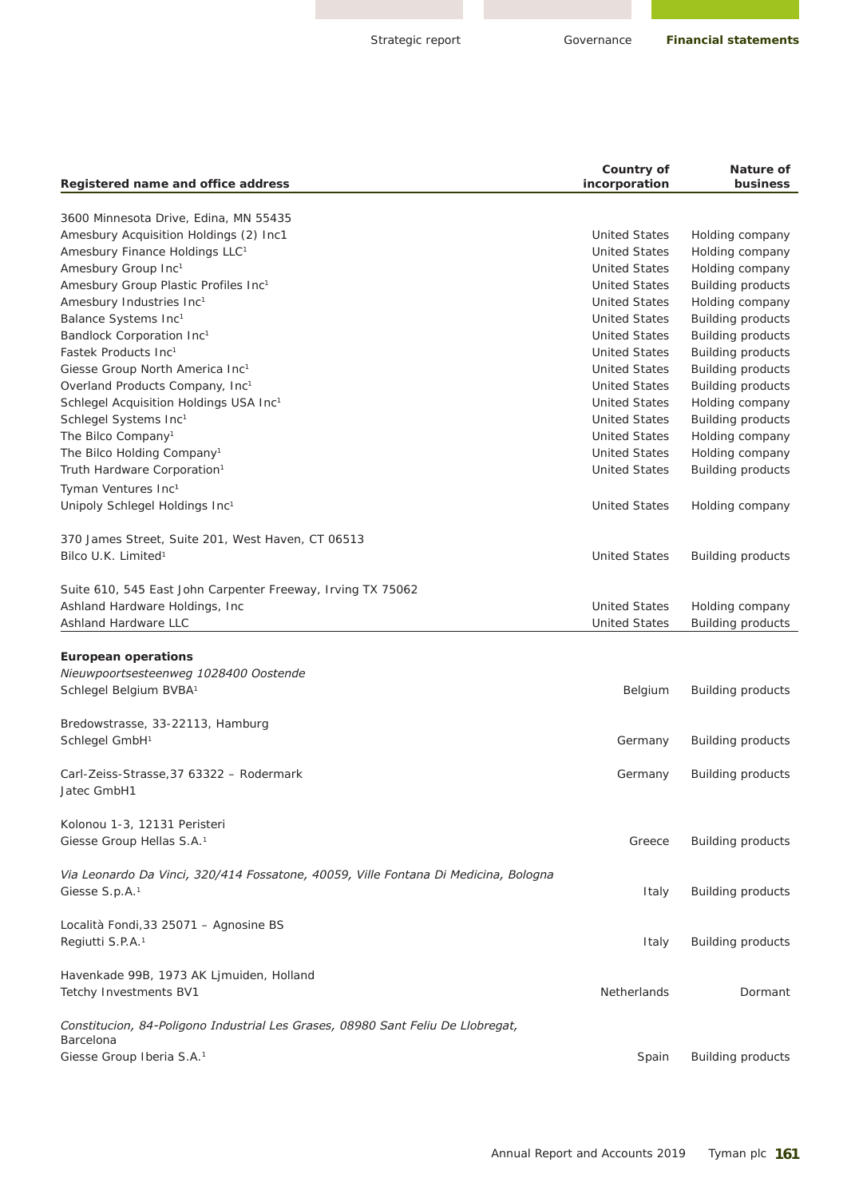Governance

| Registered name and office address                                                    | Country of<br>incorporation                  | Nature of<br>business                                |
|---------------------------------------------------------------------------------------|----------------------------------------------|------------------------------------------------------|
|                                                                                       |                                              |                                                      |
| 3600 Minnesota Drive, Edina, MN 55435                                                 |                                              |                                                      |
| Amesbury Acquisition Holdings (2) Inc1                                                | <b>United States</b><br><b>United States</b> | Holding company                                      |
| Amesbury Finance Holdings LLC <sup>1</sup>                                            | <b>United States</b>                         | Holding company                                      |
| Amesbury Group Inc1                                                                   | <b>United States</b>                         | Holding company                                      |
| Amesbury Group Plastic Profiles Inc1<br>Amesbury Industries Inc <sup>1</sup>          | <b>United States</b>                         | <b>Building products</b><br>Holding company          |
|                                                                                       | <b>United States</b>                         |                                                      |
| Balance Systems Inc <sup>1</sup><br>Bandlock Corporation Inc <sup>1</sup>             | <b>United States</b>                         | <b>Building products</b>                             |
| Fastek Products Inc <sup>1</sup>                                                      | <b>United States</b>                         | <b>Building products</b><br><b>Building products</b> |
| Giesse Group North America Inc <sup>1</sup>                                           | <b>United States</b>                         | <b>Building products</b>                             |
|                                                                                       | <b>United States</b>                         |                                                      |
| Overland Products Company, Inc <sup>1</sup><br>Schlegel Acquisition Holdings USA Inc1 | <b>United States</b>                         | <b>Building products</b><br>Holding company          |
|                                                                                       | <b>United States</b>                         |                                                      |
| Schlegel Systems Inc1<br>The Bilco Company <sup>1</sup>                               | <b>United States</b>                         | <b>Building products</b>                             |
| The Bilco Holding Company <sup>1</sup>                                                | <b>United States</b>                         | Holding company                                      |
|                                                                                       |                                              | Holding company                                      |
| Truth Hardware Corporation <sup>1</sup>                                               | <b>United States</b>                         | <b>Building products</b>                             |
| Tyman Ventures Inc <sup>1</sup>                                                       |                                              |                                                      |
| Unipoly Schlegel Holdings Inc1                                                        | <b>United States</b>                         | Holding company                                      |
| 370 James Street, Suite 201, West Haven, CT 06513                                     |                                              |                                                      |
| Bilco U.K. Limited <sup>1</sup>                                                       | <b>United States</b>                         | <b>Building products</b>                             |
| Suite 610, 545 East John Carpenter Freeway, Irving TX 75062                           |                                              |                                                      |
| Ashland Hardware Holdings, Inc.                                                       | <b>United States</b>                         | Holding company                                      |
| <b>Ashland Hardware LLC</b>                                                           | <b>United States</b>                         | <b>Building products</b>                             |
|                                                                                       |                                              |                                                      |
| <b>European operations</b>                                                            |                                              |                                                      |
| Nieuwpoortsesteenweg 1028400 Oostende                                                 |                                              |                                                      |
| Schlegel Belgium BVBA <sup>1</sup>                                                    | Belgium                                      | <b>Building products</b>                             |
|                                                                                       |                                              |                                                      |
| Bredowstrasse, 33-22113, Hamburg                                                      |                                              |                                                      |
| Schlegel GmbH <sup>1</sup>                                                            | Germany                                      | <b>Building products</b>                             |
|                                                                                       |                                              |                                                      |
| Carl-Zeiss-Strasse, 37 63322 - Rodermark                                              | Germany                                      | <b>Building products</b>                             |
| Jatec GmbH1                                                                           |                                              |                                                      |
| Kolonou 1-3, 12131 Peristeri                                                          |                                              |                                                      |
| Giesse Group Hellas S.A. <sup>1</sup>                                                 | Greece                                       | <b>Building products</b>                             |
| Via Leonardo Da Vinci, 320/414 Fossatone, 40059, Ville Fontana Di Medicina, Bologna   |                                              |                                                      |
| Giesse S.p.A. <sup>1</sup>                                                            | Italy                                        | <b>Building products</b>                             |
| Località Fondi, 33 25071 - Agnosine BS                                                |                                              |                                                      |
| Regiutti S.P.A. <sup>1</sup>                                                          | Italy                                        | <b>Building products</b>                             |
| Havenkade 99B, 1973 AK Ljmuiden, Holland                                              |                                              |                                                      |
| Tetchy Investments BV1                                                                | <b>Netherlands</b>                           | Dormant                                              |
| Constitucion, 84-Poligono Industrial Les Grases, 08980 Sant Feliu De Llobregat,       |                                              |                                                      |
| Barcelona                                                                             |                                              |                                                      |
| Giesse Group Iberia S.A. <sup>1</sup>                                                 | Spain                                        | <b>Building products</b>                             |
|                                                                                       |                                              |                                                      |